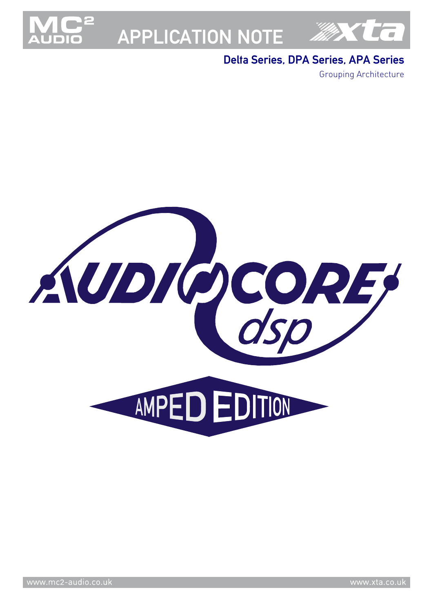

# APPLICATION NOTE



### Delta Series, DPA Series, APA Series

Grouping Architecture

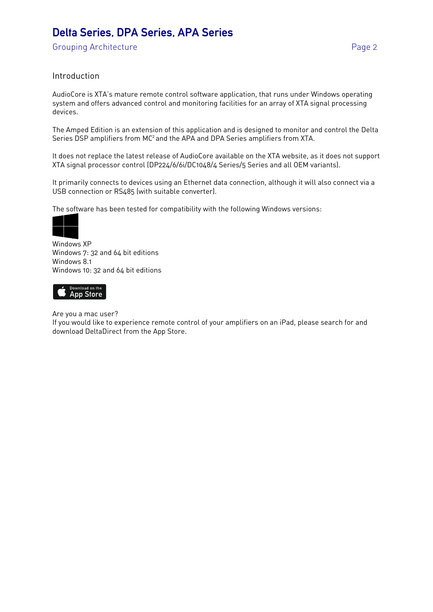Grouping Architecture **Page 2** 

#### Introduction

AudioCore is XTA's mature remote control software application, that runs under Windows operating system and offers advanced control and monitoring facilities for an array of XTA signal processing devices.

The Amped Edition is an extension of this application and is designed to monitor and control the Delta Series DSP amplifiers from MC<sup>2</sup> and the APA and DPA Series amplifiers from XTA.

It does not replace the latest release of AudioCore available on the XTA website, as it does not support XTA signal processor control (DP224/6/6i/DC1048/4 Series/5 Series and all OEM variants).

It primarily connects to devices using an Ethernet data connection, although it will also connect via a USB connection or RS485 (with suitable converter).

The software has been tested for compatibility with the following Windows versions:



Windows XP Windows 7: 32 and 64 bit editions Windows 8.1 Windows 10: 32 and 64 bit editions



Are you a mac user?

If you would like to experience remote control of your amplifiers on an iPad, please search for and download DeltaDirect from the App Store.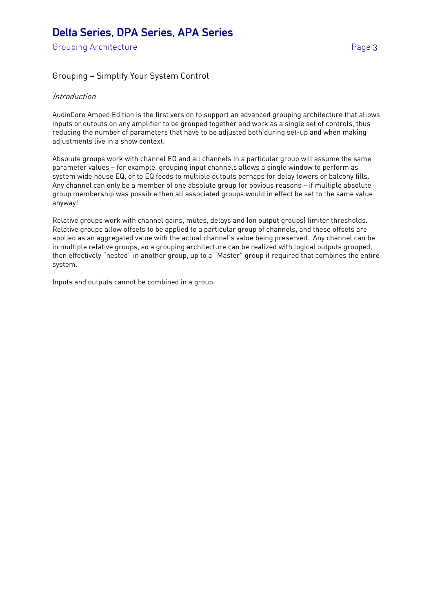Grouping Architecture **Page 3** 

### Grouping — Simplify Your System Control

#### **Introduction**

AudioCore Amped Edition is the first version to support an advanced grouping architecture that allows inputs or outputs on any amplifier to be grouped together and work as a single set of controls, thus reducing the number of parameters that have to be adjusted both during set-up and when making adjustments live in a show context.

Absolute groups work with channel EQ and all channels in a particular group will assume the same parameter values — for example, grouping input channels allows a single window to perform as system wide house EQ, or to EQ feeds to multiple outputs perhaps for delay towers or balcony fills. Any channel can only be a member of one absolute group for obvious reasons — if multiple absolute group membership was possible then all associated groups would in effect be set to the same value anyway!

Relative groups work with channel gains, mutes, delays and (on output groups) limiter thresholds. Relative groups allow offsets to be applied to a particular group of channels, and these offsets are applied as an aggregated value with the actual channel's value being preserved. Any channel can be in multiple relative groups, so a grouping architecture can be realized with logical outputs grouped, then effectively "nested" in another group, up to a "Master" group if required that combines the entire system.

Inputs and outputs cannot be combined in a group.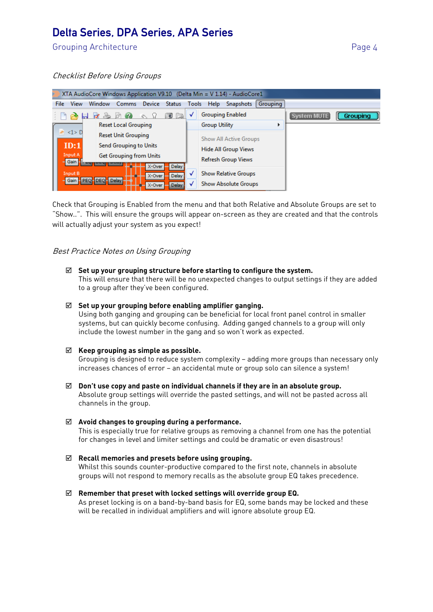Grouping Architecture **Page 4** 

#### Checklist Before Using Groups

| XTA AudioCore Windows Application V9.10 (Delta Min = V 1.14) - AudioCore1                             |                                                                             |        |              |               |                            |              |                             |                         |                 |             |          |
|-------------------------------------------------------------------------------------------------------|-----------------------------------------------------------------------------|--------|--------------|---------------|----------------------------|--------------|-----------------------------|-------------------------|-----------------|-------------|----------|
| File                                                                                                  | <b>View</b>                                                                 | Window | <b>Comms</b> | <b>Device</b> | <b>Status</b>              | <b>Tools</b> | <b>Help</b>                 | <b>Snapshots</b>        | <b>Grouping</b> |             |          |
|                                                                                                       |                                                                             |        |              |               | 扇                          | v            |                             | <b>Grouping Enabled</b> |                 | System MUTE | Grouping |
|                                                                                                       | <b>Reset Local Grouping</b>                                                 |        |              |               |                            |              | <b>Group Utility</b>        |                         | ь               |             |          |
| $\leq 1$ > D<br><b>Reset Unit Grouping</b>                                                            |                                                                             |        |              |               |                            |              | Show All Active Groups      |                         |                 |             |          |
|                                                                                                       | ID:1<br>Send Grouping to Units<br>Input A<br><b>Get Grouping from Units</b> |        |              |               |                            |              | <b>Hide All Group Views</b> |                         |                 |             |          |
|                                                                                                       |                                                                             |        |              |               | <b>Refresh Group Views</b> |              |                             |                         |                 |             |          |
| Gain<br>X-Over<br><b>Delay</b><br>Input B<br>Delay<br>X-Over<br>Gain PEQ-DEQ-Delay<br>Delay<br>X-Over |                                                                             |        |              |               |                            |              |                             |                         |                 |             |          |
|                                                                                                       |                                                                             |        |              |               |                            |              | <b>Show Relative Groups</b> |                         |                 |             |          |
|                                                                                                       |                                                                             |        |              |               | N                          |              | <b>Show Absolute Groups</b> |                         |                 |             |          |

Check that Grouping is Enabled from the menu and that both Relative and Absolute Groups are set to "Show..". This will ensure the groups will appear on-screen as they are created and that the controls will actually adjust your system as you expect!

#### Best Practice Notes on Using Grouping

#### **Set up your grouping structure before starting to configure the system.**

This will ensure that there will be no unexpected changes to output settings if they are added to a group after they've been configured.

#### **Set up your grouping before enabling amplifier ganging.**

Using both ganging and grouping can be beneficial for local front panel control in smaller systems, but can quickly become confusing. Adding ganged channels to a group will only include the lowest number in the gang and so won't work as expected.

#### **Keep grouping as simple as possible.**

Grouping is designed to reduce system complexity — adding more groups than necessary only increases chances of error — an accidental mute or group solo can silence a system!

 **Don't use copy and paste on individual channels if they are in an absolute group.**  Absolute group settings will override the pasted settings, and will not be pasted across all channels in the group.

#### **Avoid changes to grouping during a performance.**

This is especially true for relative groups as removing a channel from one has the potential for changes in level and limiter settings and could be dramatic or even disastrous!

### **Recall memories and presets before using grouping.**

Whilst this sounds counter-productive compared to the first note, channels in absolute groups will not respond to memory recalls as the absolute group EQ takes precedence.

#### **Remember that preset with locked settings will override group EQ.**

As preset locking is on a band-by-band basis for EQ, some bands may be locked and these will be recalled in individual amplifiers and will ignore absolute group EQ.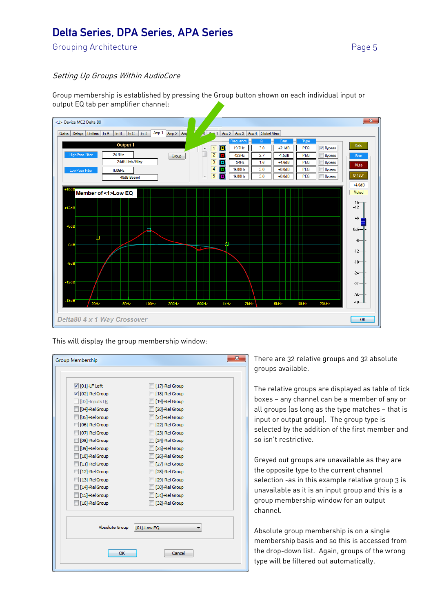Grouping Architecture **Example 2018** 2019 12:30 Page 5

#### Setting Up Groups Within AudioCore

Group membership is established by pressing the Group button shown on each individual input or output EQ tab per amplifier channel:



This will display the group membership window:

| <b>V</b> [01]-LF Left | [17]-Rel Group |
|-----------------------|----------------|
| 7 [02]-Rel Group      | [18]-Rel Group |
| [03]-Inputs LR        | [19]-Rel Group |
| [04]-Rel Group        | [20]-Rel Group |
| [05]-Rel Group        | [21]-Rel Group |
| [06]-Rel Group        | [22]-Rel Group |
| [07]-Rel Group        | [23]-Rel Group |
| [08]-Rel Group        | [24]-Rel Group |
| [09]-Rel Group        | [25]-Rel Group |
| [10]-Rel Group        | [26]-Rel Group |
| [11]-Rel Group        | [27]-Rel Group |
| [12]-Rel Group        | [28]-Rel Group |
| [13]-Rel Group        | [29]-Rel Group |
| [14]-Rel Group        | [30]-Rel Group |
| [15]-Rel Group        | [31]-Rel Group |
| [16]-Rel Group        | [32]-Rel Group |
| <b>Absolute Group</b> | [01]-Low EQ    |

There are 32 relative groups and 32 absolute groups available.

The relative groups are displayed as table of tick boxes — any channel can be a member of any or all groups (as long as the type matches — that is input or output group). The group type is selected by the addition of the first member and so isn't restrictive.

Greyed out groups are unavailable as they are the opposite type to the current channel selection -as in this example relative group 3 is unavailable as it is an input group and this is a group membership window for an output channel.

Absolute group membership is on a single membership basis and so this is accessed from the drop-down list. Again, groups of the wrong type will be filtered out automatically.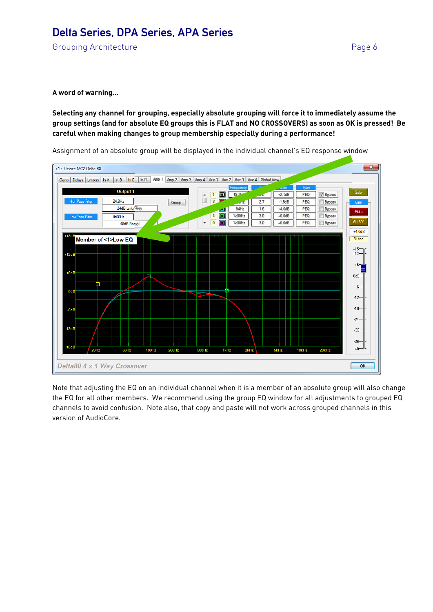Grouping Architecture **Page 6** 

#### **A word of warning…**

#### **Selecting any channel for grouping, especially absolute grouping will force it to immediately assume the group settings (and for absolute EQ groups this is FLAT and NO CROSSOVERS) as soon as OK is pressed! Be careful when making changes to group membership especially during a performance!**

Assignment of an absolute group will be displayed in the individual channel's EQ response window



Note that adjusting the EQ on an individual channel when it is a member of an absolute group will also change the EQ for all other members. We recommend using the group EQ window for all adjustments to grouped EQ channels to avoid confusion. Note also, that copy and paste will not work across grouped channels in this version of AudioCore.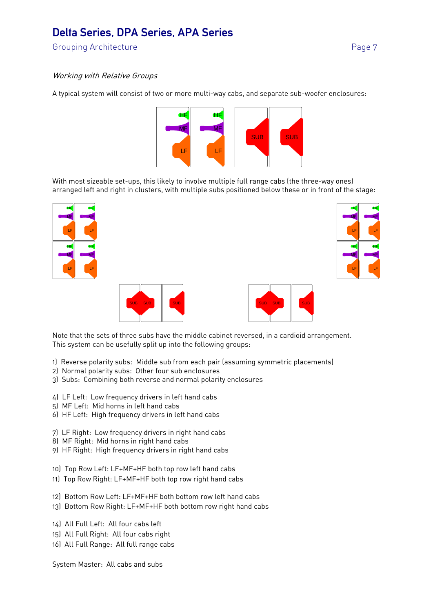Grouping Architecture **Page 7** 

#### Working with Relative Groups

A typical system will consist of two or more multi-way cabs, and separate sub-woofer enclosures:



With most sizeable set-ups, this likely to involve multiple full range cabs (the three-way ones) arranged left and right in clusters, with multiple subs positioned below these or in front of the stage:









Note that the sets of three subs have the middle cabinet reversed, in a cardioid arrangement. This system can be usefully split up into the following groups:

- 1) Reverse polarity subs: Middle sub from each pair (assuming symmetric placements)
- 2) Normal polarity subs: Other four sub enclosures
- 3) Subs: Combining both reverse and normal polarity enclosures
- 4) LF Left: Low frequency drivers in left hand cabs
- 5) MF Left: Mid horns in left hand cabs
- 6) HF Left: High frequency drivers in left hand cabs
- 7) LF Right: Low frequency drivers in right hand cabs
- 8) MF Right: Mid horns in right hand cabs
- 9) HF Right: High frequency drivers in right hand cabs
- 10) Top Row Left: LF+MF+HF both top row left hand cabs
- 11) Top Row Right: LF+MF+HF both top row right hand cabs
- 12) Bottom Row Left: LF+MF+HF both bottom row left hand cabs
- 13) Bottom Row Right: LF+MF+HF both bottom row right hand cabs
- 14) All Full Left: All four cabs left
- 15) All Full Right: All four cabs right
- 16) All Full Range: All full range cabs

System Master: All cabs and subs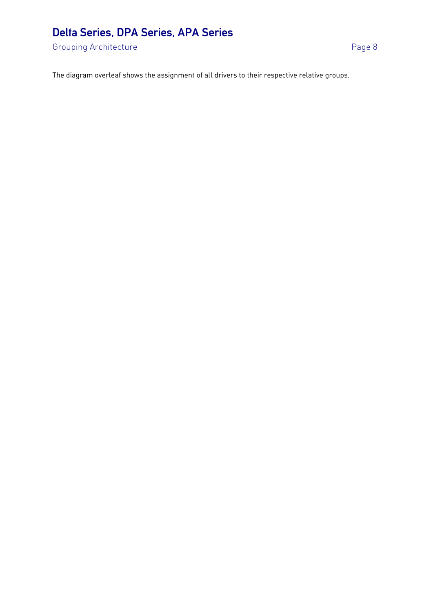Grouping Architecture **Page 8** 

The diagram overleaf shows the assignment of all drivers to their respective relative groups.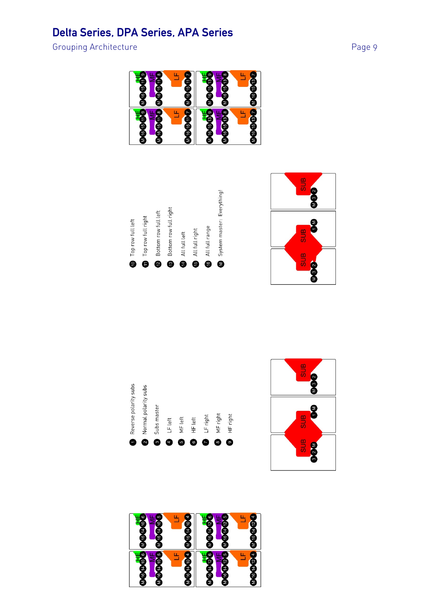Grouping Architecture **Page 9** 









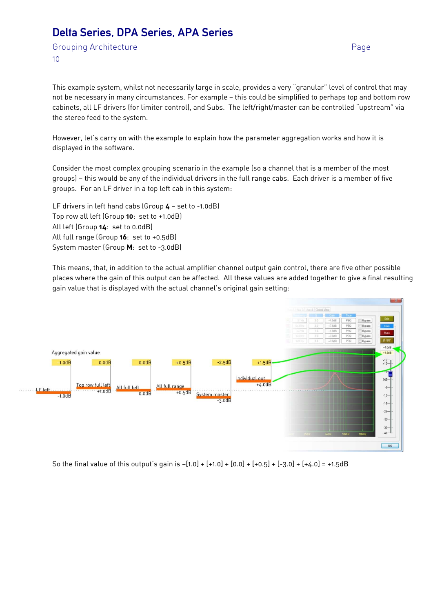Grouping Architecture **Page** 10

This example system, whilst not necessarily large in scale, provides a very "granular" level of control that may not be necessary in many circumstances. For example — this could be simplified to perhaps top and bottom row cabinets, all LF drivers (for limiter control), and Subs. The left/right/master can be controlled "upstream" via the stereo feed to the system.

However, let's carry on with the example to explain how the parameter aggregation works and how it is displayed in the software.

Consider the most complex grouping scenario in the example (so a channel that is a member of the most groups) — this would be any of the individual drivers in the full range cabs. Each driver is a member of five groups. For an LF driver in a top left cab in this system:

LF drivers in left hand cabs (Group **4** — set to -1.0dB) Top row all left (Group **10**: set to +1.0dB) All left (Group **14**: set to 0.0dB) All full range (Group **16**: set to +0.5dB) System master (Group **M**: set to -3.0dB)

This means, that, in addition to the actual amplifier channel output gain control, there are five other possible places where the gain of this output can be affected. All these values are added together to give a final resulting gain value that is displayed with the actual channel's original gain setting:



So the final value of this output's gain is  $-[1.0] + [+1.0] + [0.0] + [+0.5] + [-3.0] + [+4.0] = +1.5dB$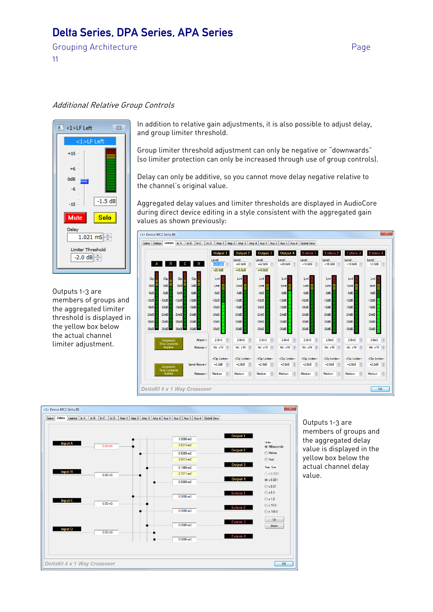Grouping Architecture **Page** 

11

#### Additional Relative Group Controls



Outputs 1-3 are members of groups and the aggregated limiter threshold is displayed in the yellow box below the actual channel limiter adjustment.

In addition to relative gain adjustments, it is also possible to adjust delay, and group limiter threshold.

Group limiter threshold adjustment can only be negative or "downwards" (so limiter protection can only be increased through use of group controls).

Delay can only be additive, so you cannot move delay negative relative to the channel's original value.

Aggregated delay values and limiter thresholds are displayed in AudioCore during direct device editing in a style consistent with the aggregated gain values as shown previously:





Outputs 1-3 are members of groups and the aggregated delay value is displayed in the yellow box below the actual channel delay value.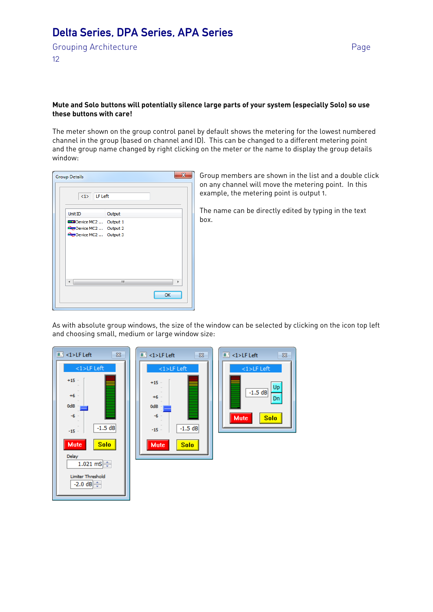Grouping Architecture **Page** 12

#### **Mute and Solo buttons will potentially silence large parts of your system (especially Solo) so use these buttons with care!**

The meter shown on the group control panel by default shows the metering for the lowest numbered channel in the group (based on channel and ID). This can be changed to a different metering point and the group name changed by right clicking on the meter or the name to display the group details window:

| <b>Group Details</b>            |        | x  |
|---------------------------------|--------|----|
| $<1>$ LF Left                   |        |    |
| Unit ID                         | Output |    |
| Device MC2  Output 1            |        |    |
| <b>Org</b> Device MC2  Output 2 |        |    |
| Device MC2  Output 3            |        |    |
|                                 |        |    |
|                                 |        |    |
|                                 |        |    |
|                                 |        |    |
|                                 |        |    |
| $\leftarrow$                    | Ш      |    |
|                                 |        | OK |
|                                 |        |    |
|                                 |        |    |

Group members are shown in the list and a double click on any channel will move the metering point. In this example, the metering point is output 1.

The name can be directly edited by typing in the text box.

As with absolute group windows, the size of the window can be selected by clicking on the icon top left and choosing small, medium or large window size:

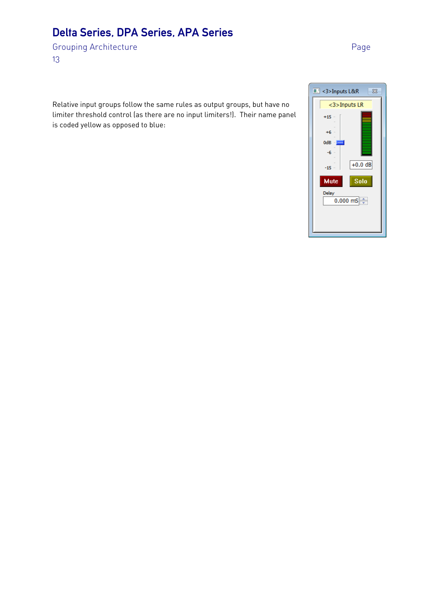Grouping Architecture **Page** 13

Relative input groups follow the same rules as output groups, but have no limiter threshold control (as there are no input limiters!). Their name panel is coded yellow as opposed to blue:

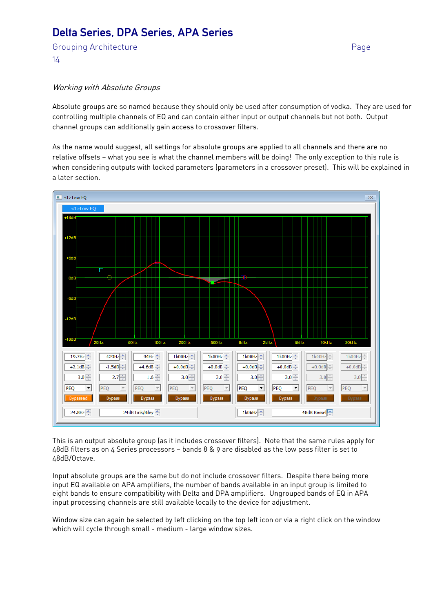Grouping Architecture **Page** 14

#### Working with Absolute Groups

Absolute groups are so named because they should only be used after consumption of vodka. They are used for controlling multiple channels of EQ and can contain either input or output channels but not both. Output channel groups can additionally gain access to crossover filters.

As the name would suggest, all settings for absolute groups are applied to all channels and there are no relative offsets — what you see is what the channel members will be doing! The only exception to this rule is when considering outputs with locked parameters (parameters in a crossover preset). This will be explained in a later section.



This is an output absolute group (as it includes crossover filters). Note that the same rules apply for 48dB filters as on 4 Series processors — bands 8 & 9 are disabled as the low pass filter is set to 48dB/Octave.

Input absolute groups are the same but do not include crossover filters. Despite there being more input EQ available on APA amplifiers, the number of bands available in an input group is limited to eight bands to ensure compatibility with Delta and DPA amplifiers. Ungrouped bands of EQ in APA input processing channels are still available locally to the device for adjustment.

Window size can again be selected by left clicking on the top left icon or via a right click on the window which will cycle through small - medium - large window sizes.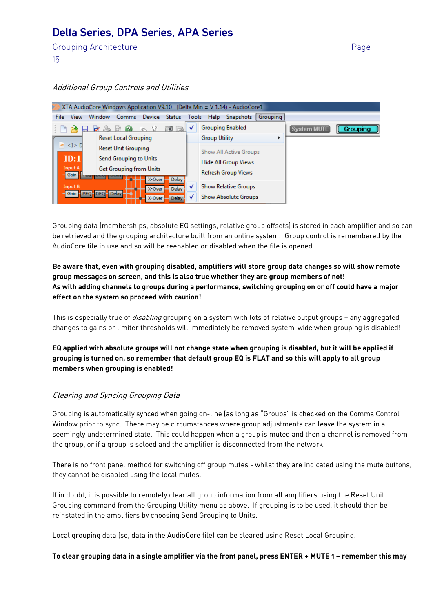Grouping Architecture **Page** 15

#### Additional Group Controls and Utilities

| XTA AudioCore Windows Application V9.10 (Delta Min = V 1.14) - AudioCore1 |                                           |                            |                             |        |                             |                             |                            |                             |          |   |             |                 |
|---------------------------------------------------------------------------|-------------------------------------------|----------------------------|-----------------------------|--------|-----------------------------|-----------------------------|----------------------------|-----------------------------|----------|---|-------------|-----------------|
| File:                                                                     | <b>View</b>                               | Window                     | <b>Comms</b>                | Device | <b>Status</b>               | <b>Tools</b>                | Help                       | <b>Snapshots</b>            | Grouping |   |             |                 |
|                                                                           |                                           |                            |                             |        | <u>9 Fa</u>                 |                             |                            | <b>Grouping Enabled</b>     |          |   | System MUTE | <b>Grouping</b> |
|                                                                           |                                           |                            | <b>Reset Local Grouping</b> |        |                             |                             | <b>Group Utility</b>       |                             |          | ٠ |             |                 |
|                                                                           | $\langle 1 \rangle$ D                     | <b>Reset Unit Grouping</b> |                             |        |                             |                             | Show All Active Groups     |                             |          |   |             |                 |
|                                                                           | ID:1<br>Send Grouping to Units            |                            |                             |        |                             | <b>Hide All Group Views</b> |                            |                             |          |   |             |                 |
|                                                                           | Input A<br><b>Get Grouping from Units</b> |                            |                             |        |                             |                             | <b>Refresh Group Views</b> |                             |          |   |             |                 |
|                                                                           | Gain                                      |                            |                             | X-Over | <b>Delay</b>                |                             |                            |                             |          |   |             |                 |
| Input B<br>X-Over<br><b>Delay</b><br>Gain PEQ-DEQ-Delay                   |                                           |                            |                             |        | <b>Show Relative Groups</b> |                             |                            |                             |          |   |             |                 |
| <b>Delay</b><br>X-Over                                                    |                                           |                            |                             |        |                             |                             |                            | <b>Show Absolute Groups</b> |          |   |             |                 |

Grouping data (memberships, absolute EQ settings, relative group offsets) is stored in each amplifier and so can be retrieved and the grouping architecture built from an online system. Group control is remembered by the AudioCore file in use and so will be reenabled or disabled when the file is opened.

#### **Be aware that, even with grouping disabled, amplifiers will store group data changes so will show remote group messages on screen, and this is also true whether they are group members of not! As with adding channels to groups during a performance, switching grouping on or off could have a major effect on the system so proceed with caution!**

This is especially true of *disabling* grouping on a system with lots of relative output groups – any aggregated changes to gains or limiter thresholds will immediately be removed system-wide when grouping is disabled!

**EQ applied with absolute groups will not change state when grouping is disabled, but it will be applied if grouping is turned on, so remember that default group EQ is FLAT and so this will apply to all group members when grouping is enabled!** 

#### Clearing and Syncing Grouping Data

Grouping is automatically synced when going on-line (as long as "Groups" is checked on the Comms Control Window prior to sync. There may be circumstances where group adjustments can leave the system in a seemingly undetermined state. This could happen when a group is muted and then a channel is removed from the group, or if a group is soloed and the amplifier is disconnected from the network.

There is no front panel method for switching off group mutes - whilst they are indicated using the mute buttons, they cannot be disabled using the local mutes.

If in doubt, it is possible to remotely clear all group information from all amplifiers using the Reset Unit Grouping command from the Grouping Utility menu as above. If grouping is to be used, it should then be reinstated in the amplifiers by choosing Send Grouping to Units.

Local grouping data (so, data in the AudioCore file) can be cleared using Reset Local Grouping.

#### **To clear grouping data in a single amplifier via the front panel, press ENTER + MUTE 1 — remember this may**